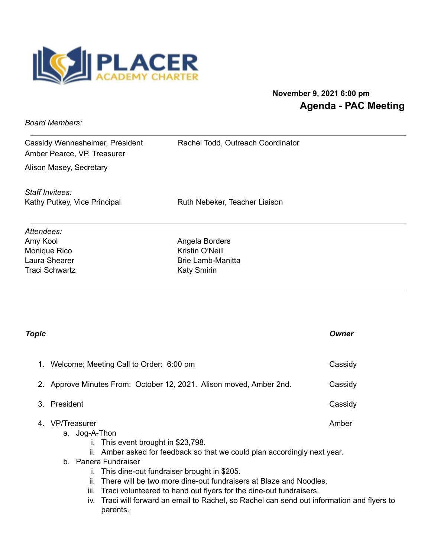

## **November 9, 2021 6:00 pm Agenda - PAC Meeting**

*Board Members:*

Cassidy Wennesheimer, President Rachel Todd, Outreach Coordinator Amber Pearce, VP, Treasurer

Alison Masey, Secretary

*Staff Invitees:*

Kathy Putkey, Vice Principal **Ruth Nebeker**, Teacher Liaison

*Attendees:* Amy Kool **Angela Borders** Monique Rico **Kristin O'Neill** Traci Schwartz **Katy Smirin** Katy Smirin

Laura Shearer **Brie Lamb-Manitta** 

| Topic |                                                                                                                                                                                                                                                                                                                                                                                                                                                                                                        | Owner   |
|-------|--------------------------------------------------------------------------------------------------------------------------------------------------------------------------------------------------------------------------------------------------------------------------------------------------------------------------------------------------------------------------------------------------------------------------------------------------------------------------------------------------------|---------|
| 1.    | Welcome; Meeting Call to Order: 6:00 pm                                                                                                                                                                                                                                                                                                                                                                                                                                                                | Cassidy |
|       | 2. Approve Minutes From: October 12, 2021. Alison moved, Amber 2nd.                                                                                                                                                                                                                                                                                                                                                                                                                                    | Cassidy |
| 3.    | President                                                                                                                                                                                                                                                                                                                                                                                                                                                                                              | Cassidy |
|       | <b>VP/Treasurer</b><br>a. Jog-A-Thon<br>i. This event brought in \$23,798.<br>ii. Amber asked for feedback so that we could plan accordingly next year.<br>b. Panera Fundraiser<br>This dine-out fundraiser brought in \$205.<br>Τ.<br>There will be two more dine-out fundraisers at Blaze and Noodles.<br>ii.<br>Traci volunteered to hand out flyers for the dine-out fundraisers.<br>Ш.<br>iv. Traci will forward an email to Rachel, so Rachel can send out information and flyers to<br>parents. | Amber   |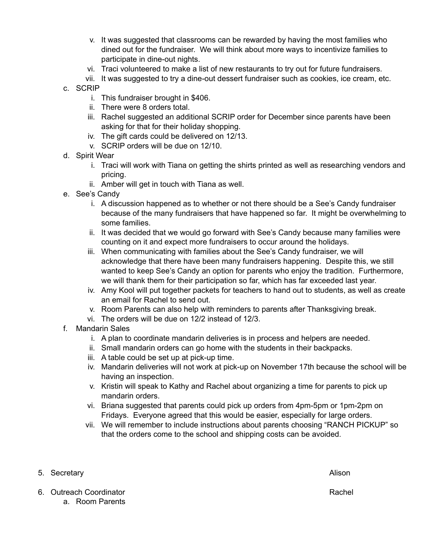- v. It was suggested that classrooms can be rewarded by having the most families who dined out for the fundraiser. We will think about more ways to incentivize families to participate in dine-out nights.
- vi. Traci volunteered to make a list of new restaurants to try out for future fundraisers.
- vii. It was suggested to try a dine-out dessert fundraiser such as cookies, ice cream, etc.
- c. SCRIP
	- i. This fundraiser brought in \$406.
	- ii. There were 8 orders total.
	- iii. Rachel suggested an additional SCRIP order for December since parents have been asking for that for their holiday shopping.
	- iv. The gift cards could be delivered on 12/13.
	- v. SCRIP orders will be due on 12/10.
- d. Spirit Wear
	- i. Traci will work with Tiana on getting the shirts printed as well as researching vendors and pricing.
	- ii. Amber will get in touch with Tiana as well.
- e. See's Candy
	- i. A discussion happened as to whether or not there should be a See's Candy fundraiser because of the many fundraisers that have happened so far. It might be overwhelming to some families.
	- ii. It was decided that we would go forward with See's Candy because many families were counting on it and expect more fundraisers to occur around the holidays.
	- iii. When communicating with families about the See's Candy fundraiser, we will acknowledge that there have been many fundraisers happening. Despite this, we still wanted to keep See's Candy an option for parents who enjoy the tradition. Furthermore, we will thank them for their participation so far, which has far exceeded last year.
	- iv. Amy Kool will put together packets for teachers to hand out to students, as well as create an email for Rachel to send out.
	- v. Room Parents can also help with reminders to parents after Thanksgiving break.
	- vi. The orders will be due on 12/2 instead of 12/3.
- f. Mandarin Sales
	- i. A plan to coordinate mandarin deliveries is in process and helpers are needed.
	- ii. Small mandarin orders can go home with the students in their backpacks.
	- iii. A table could be set up at pick-up time.
	- iv. Mandarin deliveries will not work at pick-up on November 17th because the school will be having an inspection.
	- v. Kristin will speak to Kathy and Rachel about organizing a time for parents to pick up mandarin orders.
	- vi. Briana suggested that parents could pick up orders from 4pm-5pm or 1pm-2pm on Fridays. Everyone agreed that this would be easier, especially for large orders.
	- vii. We will remember to include instructions about parents choosing "RANCH PICKUP" so that the orders come to the school and shipping costs can be avoided.
- 5. Secretary **Alison**

- 6. Outreach Coordinator **Rachell** State Assembly and Coordinator Rachell Rachell Rachell Rachell Rachell Rachell
	- a. Room Parents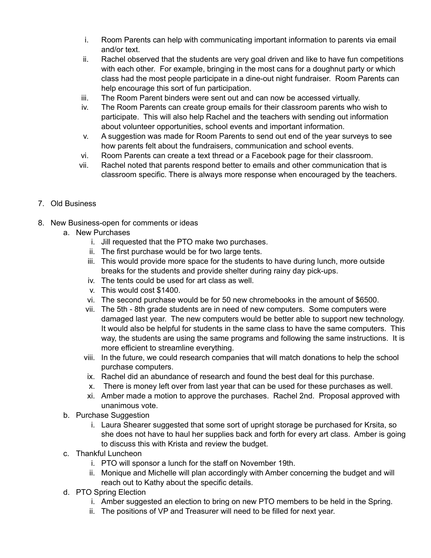- i. Room Parents can help with communicating important information to parents via email and/or text.
- ii. Rachel observed that the students are very goal driven and like to have fun competitions with each other. For example, bringing in the most cans for a doughnut party or which class had the most people participate in a dine-out night fundraiser. Room Parents can help encourage this sort of fun participation.
- iii. The Room Parent binders were sent out and can now be accessed virtually.
- iv. The Room Parents can create group emails for their classroom parents who wish to participate. This will also help Rachel and the teachers with sending out information about volunteer opportunities, school events and important information.
- v. A suggestion was made for Room Parents to send out end of the year surveys to see how parents felt about the fundraisers, communication and school events.
- vi. Room Parents can create a text thread or a Facebook page for their classroom.
- vii. Rachel noted that parents respond better to emails and other communication that is classroom specific. There is always more response when encouraged by the teachers.
- 7. Old Business
- 8. New Business-open for comments or ideas
	- a. New Purchases
		- i. Jill requested that the PTO make two purchases.
		- ii. The first purchase would be for two large tents.
		- iii. This would provide more space for the students to have during lunch, more outside breaks for the students and provide shelter during rainy day pick-ups.
		- iv. The tents could be used for art class as well.
		- v. This would cost \$1400.
		- vi. The second purchase would be for 50 new chromebooks in the amount of \$6500.
		- vii. The 5th 8th grade students are in need of new computers. Some computers were damaged last year. The new computers would be better able to support new technology. It would also be helpful for students in the same class to have the same computers. This way, the students are using the same programs and following the same instructions. It is more efficient to streamline everything.
		- viii. In the future, we could research companies that will match donations to help the school purchase computers.
		- ix. Rachel did an abundance of research and found the best deal for this purchase.
		- x. There is money left over from last year that can be used for these purchases as well.
		- xi. Amber made a motion to approve the purchases. Rachel 2nd. Proposal approved with unanimous vote.
	- b. Purchase Suggestion
		- i. Laura Shearer suggested that some sort of upright storage be purchased for Krsita, so she does not have to haul her supplies back and forth for every art class. Amber is going to discuss this with Krista and review the budget.
	- c. Thankful Luncheon
		- i. PTO will sponsor a lunch for the staff on November 19th.
		- ii. Monique and Michelle will plan accordingly with Amber concerning the budget and will reach out to Kathy about the specific details.
	- d. PTO Spring Election
		- i. Amber suggested an election to bring on new PTO members to be held in the Spring.
		- ii. The positions of VP and Treasurer will need to be filled for next year.